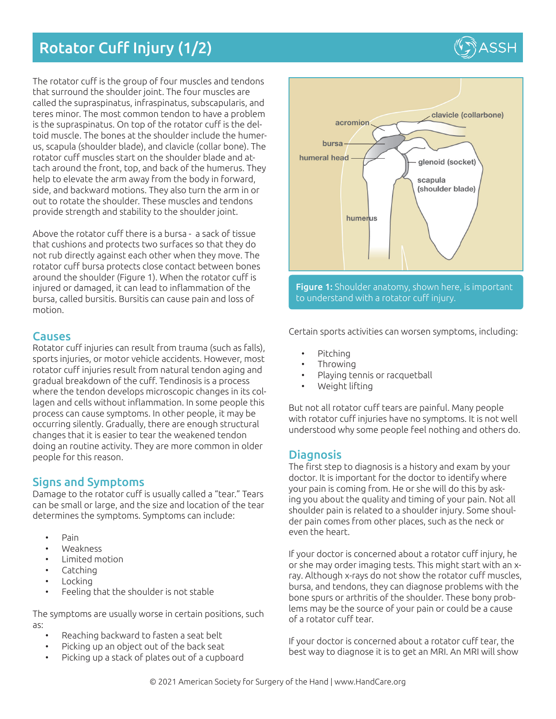# Rotator Cuff Injury (1/2)

The rotator cuff is the group of four muscles and tendons that surround the shoulder joint. The four muscles are called the supraspinatus, infraspinatus, subscapularis, and teres minor. The most common tendon to have a problem is the supraspinatus. On top of the rotator cuff is the deltoid muscle. The bones at the shoulder include the humerus, scapula (shoulder blade), and clavicle (collar bone). The rotator cuff muscles start on the shoulder blade and attach around the front, top, and back of the humerus. They help to elevate the arm away from the body in forward, side, and backward motions. They also turn the arm in or out to rotate the shoulder. These muscles and tendons provide strength and stability to the shoulder joint.

Above the rotator cuff there is a bursa - a sack of tissue that cushions and protects two surfaces so that they do not rub directly against each other when they move. The rotator cuff bursa protects close contact between bones around the shoulder (Figure 1). When the rotator cuff is injured or damaged, it can lead to inflammation of the bursa, called bursitis. Bursitis can cause pain and loss of motion.

#### **Causes**

Rotator cuff injuries can result from trauma (such as falls), sports injuries, or motor vehicle accidents. However, most rotator cuff injuries result from natural tendon aging and gradual breakdown of the cuff. Tendinosis is a process where the tendon develops microscopic changes in its collagen and cells without inflammation. In some people this process can cause symptoms. In other people, it may be occurring silently. Gradually, there are enough structural changes that it is easier to tear the weakened tendon doing an routine activity. They are more common in older people for this reason.

## Signs and Symptoms

Damage to the rotator cuff is usually called a "tear." Tears can be small or large, and the size and location of the tear determines the symptoms. Symptoms can include:

- Pain
- Weakness
- Limited motion
- Catching
- **Locking**
- Feeling that the shoulder is not stable

The symptoms are usually worse in certain positions, such as:

- Reaching backward to fasten a seat belt
- Picking up an object out of the back seat
- Picking up a stack of plates out of a cupboard



Certain sports activities can worsen symptoms, including:

- Pitching
- Throwing
- Playing tennis or racquetball
- Weight lifting

But not all rotator cuff tears are painful. Many people with rotator cuff injuries have no symptoms. It is not well understood why some people feel nothing and others do.

### **Diagnosis**

The first step to diagnosis is a history and exam by your doctor. It is important for the doctor to identify where your pain is coming from. He or she will do this by asking you about the quality and timing of your pain. Not all shoulder pain is related to a shoulder injury. Some shoulder pain comes from other places, such as the neck or even the heart.

If your doctor is concerned about a rotator cuff injury, he or she may order imaging tests. This might start with an xray. Although x-rays do not show the rotator cuff muscles, bursa, and tendons, they can diagnose problems with the bone spurs or arthritis of the shoulder. These bony problems may be the source of your pain or could be a cause of a rotator cuff tear.

If your doctor is concerned about a rotator cuff tear, the best way to diagnose it is to get an MRI. An MRI will show